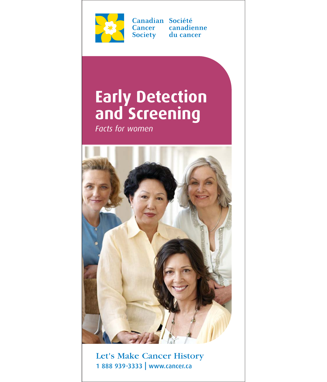

Canadian Société Cancer canadienne<br>Society du cancer

# **Early Detection and Screening**

*Facts for women*



Let's Make Cancer History 1 888 939-3333 | www.cancer.ca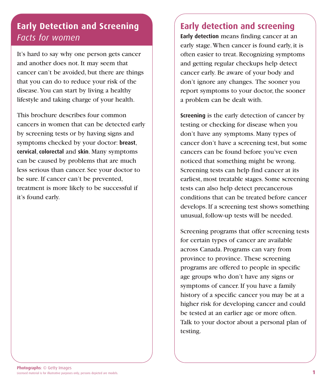# **Early Detection and Screening** *Facts for women*

It's hard to say why one person gets cancer and another does not. It may seem that cancer can't be avoided, but there are things that you can do to reduce your risk of the disease. You can start by living a healthy lifestyle and taking charge of your health.

This brochure describes four common cancers in women that can be detected early by screening tests or by having signs and symptoms checked by your doctor: **breast**, **cervical**, **colorectal** and **skin**. Many symptoms can be caused by problems that are much less serious than cancer. See your doctor to be sure. If cancer can't be prevented, treatment is more likely to be successful if it's found early.

## **Early detection and screening**

**Early detection** means finding cancer at an early stage. When cancer is found early, it is often easier to treat. Recognizing symptoms and getting regular checkups help detect cancer early. Be aware of your body and don't ignore any changes. The sooner you report symptoms to your doctor, the sooner a problem can be dealt with.

**Screening** is the early detection of cancer by testing or checking for disease when you don't have any symptoms. Many types of cancer don't have a screening test, but some cancers can be found before you've even noticed that something might be wrong. Screening tests can help find cancer at its earliest, most treatable stages. Some screening tests can also help detect precancerous conditions that can be treated before cancer develops. If a screening test shows something unusual, follow-up tests will be needed.

Screening programs that offer screening tests for certain types of cancer are available across Canada. Programs can vary from province to province. These screening programs are offered to people in specific age groups who don't have any signs or symptoms of cancer. If you have a family history of a specific cancer you may be at a higher risk for developing cancer and could be tested at an earlier age or more often. Talk to your doctor about a personal plan of testing.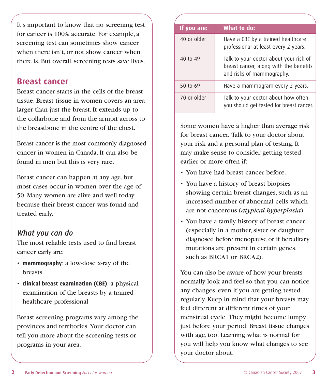It's important to know that no screening test for cancer is 100% accurate. For example, a screening test can sometimes show cancer when there isn't, or not show cancer when there is. But overall, screening tests save lives.

#### **Breast cancer**

Breast cancer starts in the cells of the breast tissue. Breast tissue in women covers an area larger than just the breast. It extends up to the collarbone and from the armpit across to the breastbone in the centre of the chest.

Breast cancer is the most commonly diagnosed cancer in women in Canada. It can also be found in men but this is very rare.

Breast cancer can happen at any age, but most cases occur in women over the age of 50. Many women are alive and well today because their breast cancer was found and treated early.

#### *What you can do*

The most reliable tests used to find breast cancer early are:

- **mammography**: a low-dose x-ray of the breasts
- **clinical breast examination (CBE)**: a physical examination of the breasts by a trained healthcare professional

Breast screening programs vary among the provinces and territories. Your doctor can tell you more about the screening tests or programs in your area.

| If you are: | What to do:                                                                                                   |
|-------------|---------------------------------------------------------------------------------------------------------------|
| 40 or older | Have a CBE by a trained healthcare<br>professional at least every 2 years.                                    |
| 40 to 49    | Talk to your doctor about your risk of<br>breast cancer, along with the benefits<br>and risks of mammography. |
| 50 to 69    | Have a mammogram every 2 years.                                                                               |
| 70 or older | Talk to your doctor about how often<br>you should get tested for breast cancer.                               |

Some women have a higher than average risk for breast cancer. Talk to your doctor about your risk and a personal plan of testing. It may make sense to consider getting tested earlier or more often if:

- You have had breast cancer before.
- You have a history of breast biopsies showing certain breast changes, such as an increased number of abnormal cells which are not cancerous (*atypical hyperplasia*).
- You have a family history of breast cancer (especially in a mother, sister or daughter diagnosed before menopause or if hereditary mutations are present in certain genes, such as BRCA1 or BRCA2).

You can also be aware of how your breasts normally look and feel so that you can notice any changes, even if you are getting tested regularly. Keep in mind that your breasts may feel different at different times of your menstrual cycle. They might become lumpy just before your period. Breast tissue changes with age, too. Learning what is normal for you will help you know what changes to see your doctor about.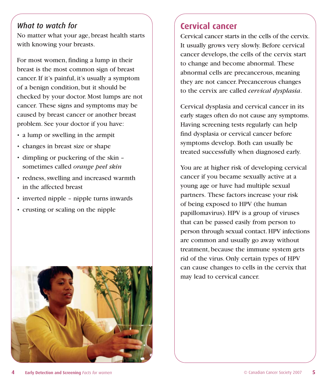#### *What to watch for*

No matter what your age, breast health starts with knowing your breasts.

For most women, finding a lump in their breast is the most common sign of breast cancer. If it's painful, it's usually a symptom of a benign condition, but it should be checked by your doctor. Most lumps are not cancer. These signs and symptoms may be caused by breast cancer or another breast problem. See your doctor if you have:

- a lump or swelling in the armpit
- changes in breast size or shape
- dimpling or puckering of the skin sometimes called *orange peel skin*
- redness, swelling and increased warmth in the affected breast
- inverted nipple nipple turns inwards
- crusting or scaling on the nipple



#### **Cervical cancer**

Cervical cancer starts in the cells of the cervix. It usually grows very slowly. Before cervical cancer develops, the cells of the cervix start to change and become abnormal. These abnormal cells are precancerous, meaning they are not cancer. Precancerous changes to the cervix are called *cervical dysplasia*.

Cervical dysplasia and cervical cancer in its early stages often do not cause any symptoms. Having screening tests regularly can help find dysplasia or cervical cancer before symptoms develop. Both can usually be treated successfully when diagnosed early.

You are at higher risk of developing cervical cancer if you became sexually active at a young age or have had multiple sexual partners. These factors increase your risk of being exposed to HPV (the human papillomavirus). HPV is a group of viruses that can be passed easily from person to person through sexual contact. HPV infections are common and usually go away without treatment, because the immune system gets rid of the virus. Only certain types of HPV can cause changes to cells in the cervix that may lead to cervical cancer.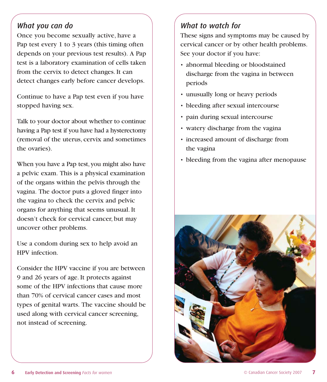#### *What you can do*

Once you become sexually active, have a Pap test every 1 to 3 years (this timing often depends on your previous test results). A Pap test is a laboratory examination of cells taken from the cervix to detect changes. It can detect changes early before cancer develops.

Continue to have a Pap test even if you have stopped having sex.

Talk to your doctor about whether to continue having a Pap test if you have had a hysterectomy (removal of the uterus, cervix and sometimes the ovaries).

When you have a Pap test, you might also have a pelvic exam. This is a physical examination of the organs within the pelvis through the vagina. The doctor puts a gloved finger into the vagina to check the cervix and pelvic organs for anything that seems unusual. It doesn't check for cervical cancer, but may uncover other problems.

Use a condom during sex to help avoid an HPV infection.

Consider the HPV vaccine if you are between 9 and 26 years of age. It protects against some of the HPV infections that cause more than 70% of cervical cancer cases and most types of genital warts. The vaccine should be used along with cervical cancer screening, not instead of screening.

#### *What to watch for*

These signs and symptoms may be caused by cervical cancer or by other health problems. See your doctor if you have:

- abnormal bleeding or bloodstained discharge from the vagina in between periods
- unusually long or heavy periods
- bleeding after sexual intercourse
- pain during sexual intercourse
- watery discharge from the vagina
- increased amount of discharge from the vagina
- bleeding from the vagina after menopause

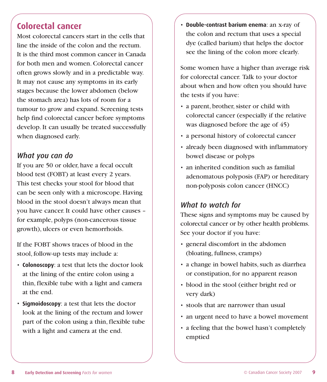#### **Colorectal cancer**

Most colorectal cancers start in the cells that line the inside of the colon and the rectum. It is the third most common cancer in Canada for both men and women. Colorectal cancer often grows slowly and in a predictable way. It may not cause any symptoms in its early stages because the lower abdomen (below the stomach area) has lots of room for a tumour to grow and expand. Screening tests help find colorectal cancer before symptoms develop. It can usually be treated successfully when diagnosed early.

#### *What you can do*

If you are 50 or older, have a fecal occult blood test (FOBT) at least every 2 years. This test checks your stool for blood that can be seen only with a microscope. Having blood in the stool doesn't always mean that you have cancer. It could have other causes – for example, polyps (non-cancerous tissue growth), ulcers or even hemorrhoids.

If the FOBT shows traces of blood in the stool, follow-up tests may include a:

- **Colonoscopy**: a test that lets the doctor look at the lining of the entire colon using a thin, flexible tube with a light and camera at the end.
- **Sigmoidoscopy**: a test that lets the doctor look at the lining of the rectum and lower part of the colon using a thin, flexible tube with a light and camera at the end.

• **Double-contrast barium enema**: an x-ray of the colon and rectum that uses a special dye (called barium) that helps the doctor see the lining of the colon more clearly.

Some women have a higher than average risk for colorectal cancer. Talk to your doctor about when and how often you should have the tests if you have:

- a parent, brother, sister or child with colorectal cancer (especially if the relative was diagnosed before the age of 45)
- a personal history of colorectal cancer
- already been diagnosed with inflammatory bowel disease or polyps
- an inherited condition such as familial adenomatous polyposis (FAP) or hereditary non-polyposis colon cancer (HNCC)

#### *What to watch for*

These signs and symptoms may be caused by colorectal cancer or by other health problems. See your doctor if you have:

- general discomfort in the abdomen (bloating, fullness, cramps)
- a change in bowel habits, such as diarrhea or constipation, for no apparent reason
- blood in the stool (either bright red or very dark)
- stools that are narrower than usual
- an urgent need to have a bowel movement
- a feeling that the bowel hasn't completely emptied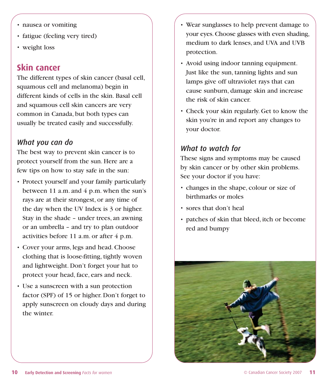- nausea or vomiting
- fatigue (feeling very tired)
- weight loss

#### **Skin cancer**

The different types of skin cancer (basal cell, squamous cell and melanoma) begin in different kinds of cells in the skin. Basal cell and squamous cell skin cancers are very common in Canada, but both types can usually be treated easily and successfully.

#### *What you can do*

The best way to prevent skin cancer is to protect yourself from the sun. Here are a few tips on how to stay safe in the sun:

- Protect yourself and your family particularly between 11 a.m. and  $4$  p.m. when the sun's rays are at their strongest, or any time of the day when the UV Index is 3 or higher. Stay in the shade – under trees, an awning or an umbrella – and try to plan outdoor activities before 11 a.m. or after 4 p.m.
- Cover your arms, legs and head. Choose clothing that is loose-fitting, tightly woven and lightweight. Don't forget your hat to protect your head, face, ears and neck.
- Use a sunscreen with a sun protection factor (SPF) of 15 or higher. Don't forget to apply sunscreen on cloudy days and during the winter.
- Wear sunglasses to help prevent damage to your eyes. Choose glasses with even shading, medium to dark lenses, and UVA and UVB protection.
- Avoid using indoor tanning equipment. Just like the sun, tanning lights and sun lamps give off ultraviolet rays that can cause sunburn, damage skin and increase the risk of skin cancer.
- Check your skin regularly. Get to know the skin you're in and report any changes to your doctor.

## *What to watch for*

These signs and symptoms may be caused by skin cancer or by other skin problems. See your doctor if you have:

- changes in the shape, colour or size of birthmarks or moles
- sores that don't heal
- patches of skin that bleed, itch or become red and bumpy

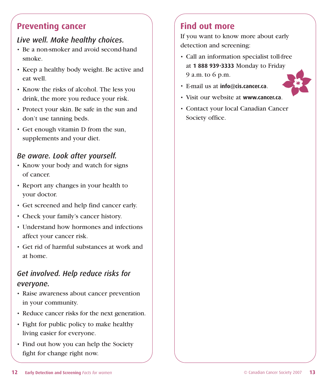## **Preventing cancer**

# *Live well. Make healthy choices.*

- Be a non-smoker and avoid second-hand smoke.
- Keep a healthy body weight. Be active and eat well.
- Know the risks of alcohol. The less you drink, the more you reduce your risk.
- Protect your skin. Be safe in the sun and don't use tanning beds.
- Get enough vitamin D from the sun, supplements and your diet.

## *Be aware. Look after yourself.*

- Know your body and watch for signs of cancer.
- Report any changes in your health to your doctor.
- Get screened and help find cancer early.
- Check your family's cancer history.
- Understand how hormones and infections affect your cancer risk.
- Get rid of harmful substances at work and at home.

# *Get involved. Help reduce risks for everyone.*

- Raise awareness about cancer prevention in your community.
- Reduce cancer risks for the next generation.
- Fight for public policy to make healthy living easier for everyone.
- Find out how you can help the Society fight for change right now.

# **Find out more**

If you want to know more about early detection and screening:

- Call an information specialist toll-free at **1 888 939-3333** Monday to Friday 9 a.m. to 6 p.m.
- E-mail us at **info@cis.cancer.ca**.
- Visit our website at **www.cancer.ca**.
- Contact your local Canadian Cancer Society office.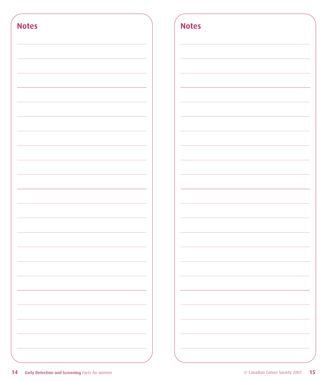| <b>Notes</b> |  |  |
|--------------|--|--|
|              |  |  |
|              |  |  |
|              |  |  |
|              |  |  |
|              |  |  |
|              |  |  |
|              |  |  |
|              |  |  |
|              |  |  |
|              |  |  |
|              |  |  |
|              |  |  |
|              |  |  |
|              |  |  |
|              |  |  |
|              |  |  |
|              |  |  |
|              |  |  |

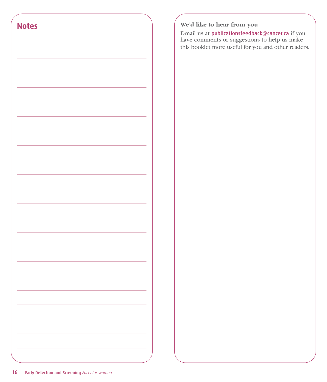

#### **We'd like to hear from you**

E-mail us at publicationsfeedback@cancer.ca if you have comments or suggestions to help us make this booklet more useful for you and other readers.